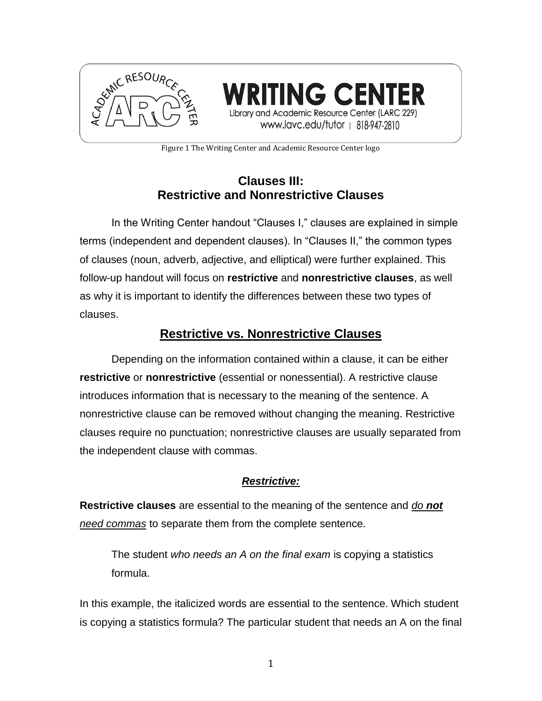

**TING CENT** Library and Academic Resource Center (LARC 229) www.lavc.edu/tutor | 818-947-2810

Figure 1 The Writing Center and Academic Resource Center logo

# **Clauses III: Restrictive and Nonrestrictive Clauses**

In the Writing Center handout "Clauses I," clauses are explained in simple terms (independent and dependent clauses). In "Clauses II," the common types of clauses (noun, adverb, adjective, and elliptical) were further explained. This follow-up handout will focus on **restrictive** and **nonrestrictive clauses**, as well as why it is important to identify the differences between these two types of clauses.

# **Restrictive vs. Nonrestrictive Clauses**

Depending on the information contained within a clause, it can be either **restrictive** or **nonrestrictive** (essential or nonessential). A restrictive clause introduces information that is necessary to the meaning of the sentence. A nonrestrictive clause can be removed without changing the meaning. Restrictive clauses require no punctuation; nonrestrictive clauses are usually separated from the independent clause with commas.

# *Restrictive:*

**Restrictive clauses** are essential to the meaning of the sentence and *do not need commas* to separate them from the complete sentence.

The student *who needs an A on the final exam* is copying a statistics formula.

In this example, the italicized words are essential to the sentence. Which student is copying a statistics formula? The particular student that needs an A on the final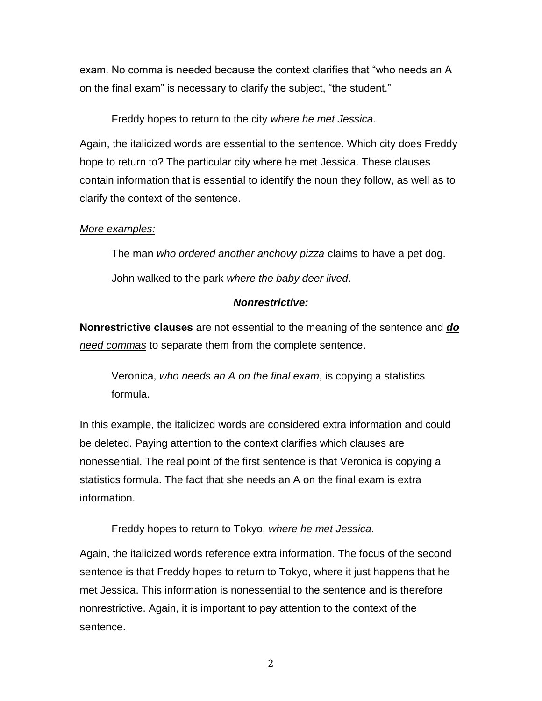exam. No comma is needed because the context clarifies that "who needs an A on the final exam" is necessary to clarify the subject, "the student."

Freddy hopes to return to the city *where he met Jessica*.

Again, the italicized words are essential to the sentence. Which city does Freddy hope to return to? The particular city where he met Jessica. These clauses contain information that is essential to identify the noun they follow, as well as to clarify the context of the sentence.

### *More examples:*

The man *who ordered another anchovy pizza* claims to have a pet dog. John walked to the park *where the baby deer lived*.

## *Nonrestrictive:*

**Nonrestrictive clauses** are not essential to the meaning of the sentence and *do need commas* to separate them from the complete sentence.

Veronica, *who needs an A on the final exam*, is copying a statistics formula.

In this example, the italicized words are considered extra information and could be deleted. Paying attention to the context clarifies which clauses are nonessential. The real point of the first sentence is that Veronica is copying a statistics formula. The fact that she needs an A on the final exam is extra information.

Freddy hopes to return to Tokyo, *where he met Jessica*.

Again, the italicized words reference extra information. The focus of the second sentence is that Freddy hopes to return to Tokyo, where it just happens that he met Jessica. This information is nonessential to the sentence and is therefore nonrestrictive. Again, it is important to pay attention to the context of the sentence.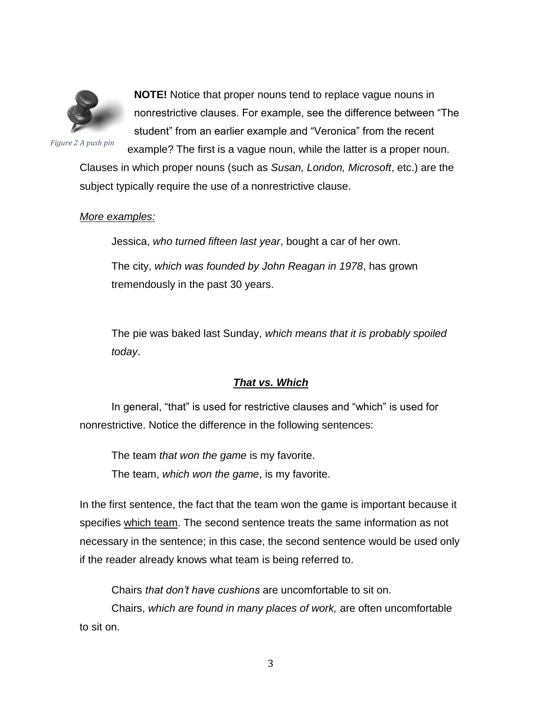

**NOTE!** Notice that proper nouns tend to replace vague nouns in nonrestrictive clauses. For example, see the difference between "The student" from an earlier example and "Veronica" from the recent

*Figure 2 A push pin*

example? The first is a vague noun, while the latter is a proper noun. Clauses in which proper nouns (such as *Susan, London, Microsoft*, etc.) are the subject typically require the use of a nonrestrictive clause.

#### *More examples:*

Jessica, *who turned fifteen last year*, bought a car of her own.

The city, *which was founded by John Reagan in 1978*, has grown tremendously in the past 30 years.

The pie was baked last Sunday, *which means that it is probably spoiled today*.

#### *That vs. Which*

In general, "that" is used for restrictive clauses and "which" is used for nonrestrictive. Notice the difference in the following sentences:

The team *that won the game* is my favorite. The team, *which won the game*, is my favorite.

In the first sentence, the fact that the team won the game is important because it specifies which team. The second sentence treats the same information as not necessary in the sentence; in this case, the second sentence would be used only if the reader already knows what team is being referred to.

Chairs *that don't have cushions* are uncomfortable to sit on.

Chairs, *which are found in many places of work,* are often uncomfortable to sit on.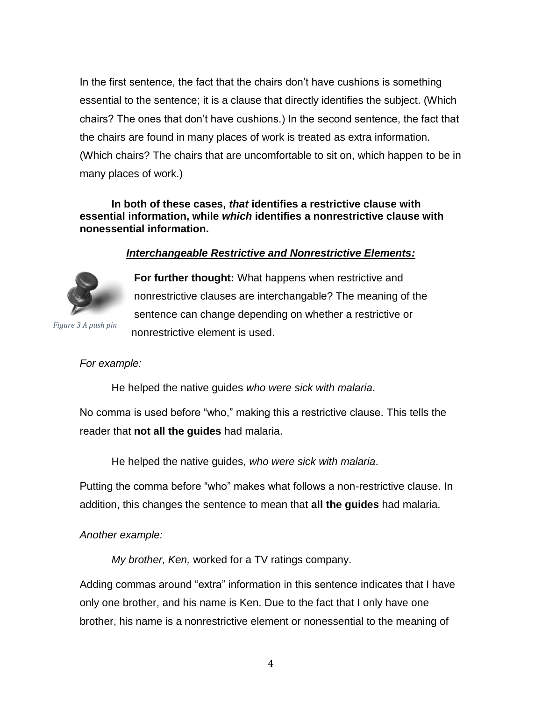In the first sentence, the fact that the chairs don't have cushions is something essential to the sentence; it is a clause that directly identifies the subject. (Which chairs? The ones that don't have cushions.) In the second sentence, the fact that the chairs are found in many places of work is treated as extra information. (Which chairs? The chairs that are uncomfortable to sit on, which happen to be in many places of work.)

#### **In both of these cases,** *that* **identifies a restrictive clause with essential information, while** *which* **identifies a nonrestrictive clause with nonessential information.**

## *Interchangeable Restrictive and Nonrestrictive Elements:*



**For further thought:** What happens when restrictive and nonrestrictive clauses are interchangable? The meaning of the sentence can change depending on whether a restrictive or nonrestrictive element is used.

*Figure 3 A push pin*

#### *For example:*

He helped the native guides *who were sick with malaria*.

No comma is used before "who," making this a restrictive clause. This tells the reader that **not all the guides** had malaria.

He helped the native guides*, who were sick with malaria*.

Putting the comma before "who" makes what follows a non-restrictive clause. In addition, this changes the sentence to mean that **all the guides** had malaria.

#### *Another example:*

*My brother, Ken,* worked for a TV ratings company.

Adding commas around "extra" information in this sentence indicates that I have only one brother, and his name is Ken. Due to the fact that I only have one brother, his name is a nonrestrictive element or nonessential to the meaning of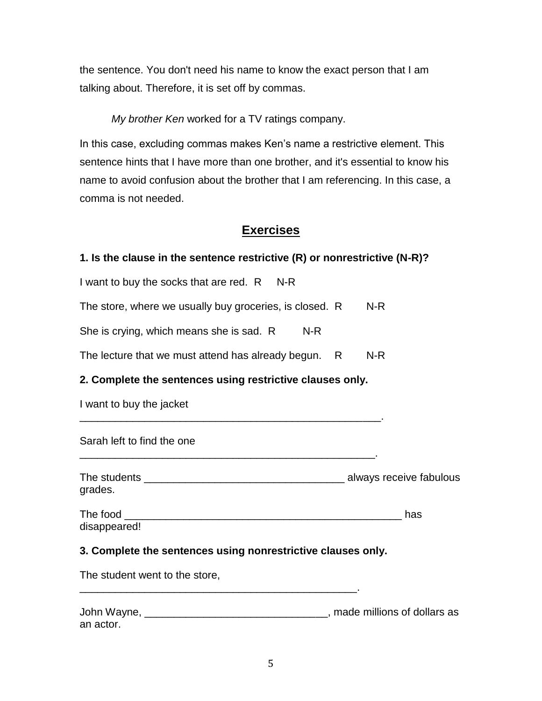the sentence. You don't need his name to know the exact person that I am talking about. Therefore, it is set off by commas.

*My brother Ken* worked for a TV ratings company.

In this case, excluding commas makes Ken's name a restrictive element. This sentence hints that I have more than one brother, and it's essential to know his name to avoid confusion about the brother that I am referencing. In this case, a comma is not needed.

# **Exercises**

## **1. Is the clause in the sentence restrictive (R) or nonrestrictive (N-R)?**

I want to buy the socks that are red.  $R$  N-R

The store, where we usually buy groceries, is closed.  $R$  N-R

She is crying, which means she is sad.  $R$  N-R

The lecture that we must attend has already begun.  $R$  N-R

\_\_\_\_\_\_\_\_\_\_\_\_\_\_\_\_\_\_\_\_\_\_\_\_\_\_\_\_\_\_\_\_\_\_\_\_\_\_\_\_\_\_\_\_\_\_\_\_\_\_\_.

\_\_\_\_\_\_\_\_\_\_\_\_\_\_\_\_\_\_\_\_\_\_\_\_\_\_\_\_\_\_\_\_\_\_\_\_\_\_\_\_\_\_\_\_\_\_\_\_\_\_.

## **2. Complete the sentences using restrictive clauses only.**

I want to buy the jacket

Sarah left to find the one

| The students | always receive fabulous |
|--------------|-------------------------|
| grades.      |                         |

| The food     | าลร |
|--------------|-----|
| disappeared! |     |

# **3. Complete the sentences using nonrestrictive clauses only.**

\_\_\_\_\_\_\_\_\_\_\_\_\_\_\_\_\_\_\_\_\_\_\_\_\_\_\_\_\_\_\_\_\_\_\_\_\_\_\_\_\_\_\_\_\_\_\_.

The student went to the store,

| John Wayne, | , made millions of dollars as |
|-------------|-------------------------------|
| an actor.   |                               |